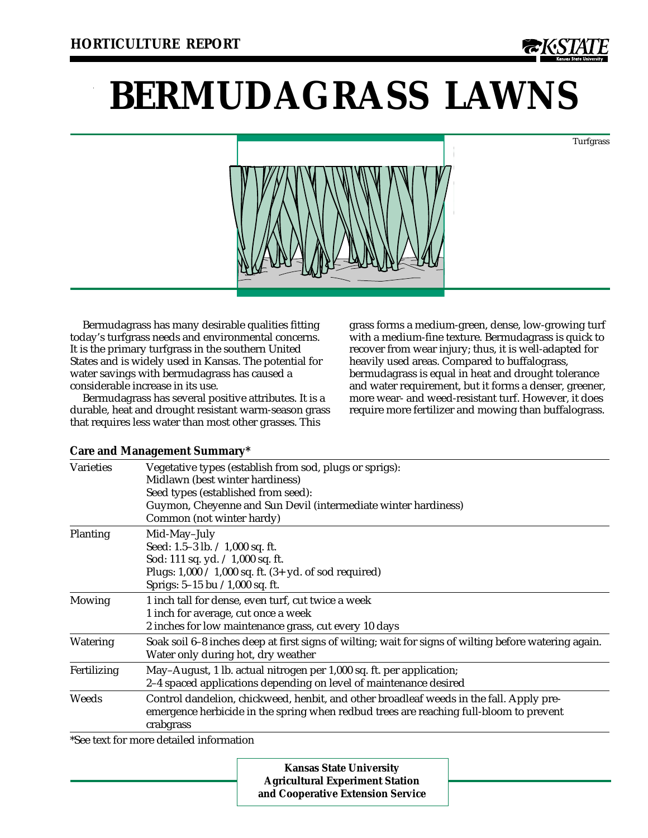

Turfgrass

# **BERMUDAGRASS LAWNS**



Bermudagrass has many desirable qualities fitting today's turfgrass needs and environmental concerns. It is the primary turfgrass in the southern United States and is widely used in Kansas. The potential for water savings with bermudagrass has caused a considerable increase in its use.

Bermudagrass has several positive attributes. It is a durable, heat and drought resistant warm-season grass that requires less water than most other grasses. This

grass forms a medium-green, dense, low-growing turf with a medium-fine texture. Bermudagrass is quick to recover from wear injury; thus, it is well-adapted for heavily used areas. Compared to buffalograss, bermudagrass is equal in heat and drought tolerance and water requirement, but it forms a denser, greener, more wear- and weed-resistant turf. However, it does require more fertilizer and mowing than buffalograss.

| <b>Varieties</b> | Vegetative types (establish from sod, plugs or sprigs):<br>Midlawn (best winter hardiness)<br>Seed types (established from seed):<br>Guymon, Cheyenne and Sun Devil (intermediate winter hardiness)<br>Common (not winter hardy) |
|------------------|----------------------------------------------------------------------------------------------------------------------------------------------------------------------------------------------------------------------------------|
| Planting         | Mid-May-July<br>Seed: 1.5-3 lb. $\div$ 1,000 sq. ft.<br>Sod: 111 sq. yd. $\div$ 1,000 sq. ft.<br>Plugs: $1,000 \div 1,000$ sq. ft. $(3 + yd.$ of sod required)<br>Sprigs: $5-15$ bu $/1,000$ sq. ft.                             |
| <b>Mowing</b>    | 1 inch tall for dense, even turf, cut twice a week<br>1 inch for average, cut once a week<br>2 inches for low maintenance grass, cut every 10 days                                                                               |
| Watering         | Soak soil 6–8 inches deep at first signs of wilting; wait for signs of wilting before watering again.<br>Water only during hot, dry weather                                                                                      |
| Fertilizing      | May-August, 1 lb. actual nitrogen per 1,000 sq. ft. per application;<br>2-4 spaced applications depending on level of maintenance desired                                                                                        |
| Weeds            | Control dandelion, chickweed, henbit, and other broadleaf weeds in the fall. Apply pre-<br>emergence herbicide in the spring when redbud trees are reaching full-bloom to prevent<br>crabgrass                                   |
|                  | $*Co2$ tout for more detailed information                                                                                                                                                                                        |

**Care and Management Summary\***

\*See text for more detailed information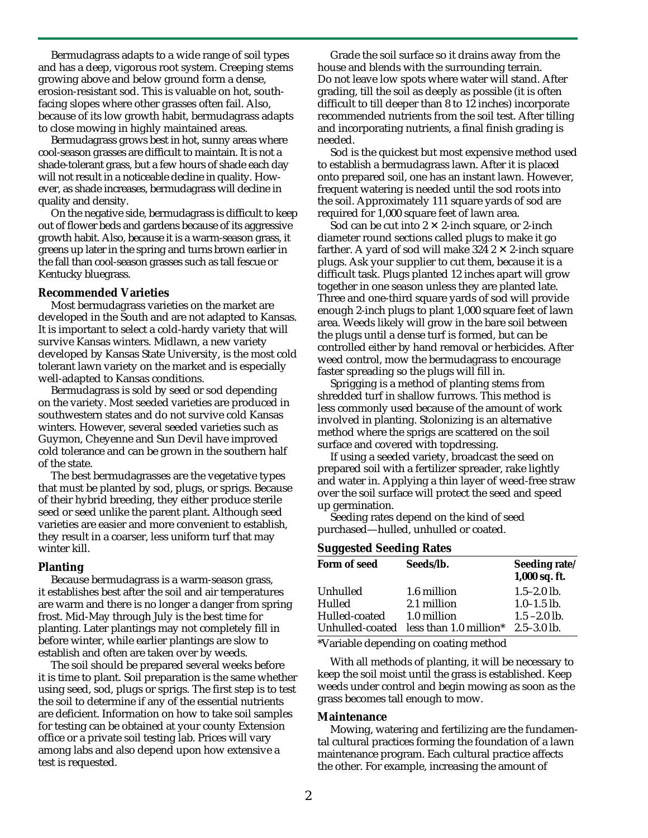Bermudagrass adapts to a wide range of soil types and has a deep, vigorous root system. Creeping stems growing above and below ground form a dense, erosion-resistant sod. This is valuable on hot, southfacing slopes where other grasses often fail. Also, because of its low growth habit, bermudagrass adapts to close mowing in highly maintained areas.

Bermudagrass grows best in hot, sunny areas where cool-season grasses are difficult to maintain. It is not a shade-tolerant grass, but a few hours of shade each day will not result in a noticeable decline in quality. However, as shade increases, bermudagrass will decline in quality and density.

On the negative side, bermudagrass is difficult to keep out of flower beds and gardens because of its aggressive growth habit. Also, because it is a warm-season grass, it greens up later in the spring and turns brown earlier in the fall than cool-season grasses such as tall fescue or Kentucky bluegrass.

### **Recommended Varieties**

Most bermudagrass varieties on the market are developed in the South and are not adapted to Kansas. It is important to select a cold-hardy variety that will survive Kansas winters. Midlawn, a new variety developed by Kansas State University, is the most cold tolerant lawn variety on the market and is especially well-adapted to Kansas conditions.

Bermudagrass is sold by seed or sod depending on the variety. Most seeded varieties are produced in southwestern states and do not survive cold Kansas winters. However, several seeded varieties such as Guymon, Cheyenne and Sun Devil have improved cold tolerance and can be grown in the southern half of the state.

The best bermudagrasses are the vegetative types that must be planted by sod, plugs, or sprigs. Because of their hybrid breeding, they either produce sterile seed or seed unlike the parent plant. Although seed varieties are easier and more convenient to establish, they result in a coarser, less uniform turf that may winter kill.

#### **Planting**

Because bermudagrass is a warm-season grass, it establishes best after the soil and air temperatures are warm and there is no longer a danger from spring frost. Mid-May through July is the best time for planting. Later plantings may not completely fill in before winter, while earlier plantings are slow to establish and often are taken over by weeds.

The soil should be prepared several weeks before it is time to plant. Soil preparation is the same whether using seed, sod, plugs or sprigs. The first step is to test the soil to determine if any of the essential nutrients are deficient. Information on how to take soil samples for testing can be obtained at your county Extension office or a private soil testing lab. Prices will vary among labs and also depend upon how extensive a test is requested.

Grade the soil surface so it drains away from the house and blends with the surrounding terrain. Do not leave low spots where water will stand. After grading, till the soil as deeply as possible (it is often difficult to till deeper than 8 to 12 inches) incorporate recommended nutrients from the soil test. After tilling and incorporating nutrients, a final finish grading is needed.

Sod is the quickest but most expensive method used to establish a bermudagrass lawn. After it is placed onto prepared soil, one has an instant lawn. However, frequent watering is needed until the sod roots into the soil. Approximately 111 square yards of sod are required for 1,000 square feet of lawn area.

Sod can be cut into  $2 \times 2$ -inch square, or 2-inch diameter round sections called plugs to make it go farther. A yard of sod will make 324  $2 \times 2$ -inch square plugs. Ask your supplier to cut them, because it is a difficult task. Plugs planted 12 inches apart will grow together in one season unless they are planted late. Three and one-third square yards of sod will provide enough 2-inch plugs to plant 1,000 square feet of lawn area. Weeds likely will grow in the bare soil between the plugs until a dense turf is formed, but can be controlled either by hand removal or herbicides. After weed control, mow the bermudagrass to encourage faster spreading so the plugs will fill in.

Sprigging is a method of planting stems from shredded turf in shallow furrows. This method is less commonly used because of the amount of work involved in planting. Stolonizing is an alternative method where the sprigs are scattered on the soil surface and covered with topdressing.

If using a seeded variety, broadcast the seed on prepared soil with a fertilizer spreader, rake lightly and water in. Applying a thin layer of weed-free straw over the soil surface will protect the seed and speed up germination.

Seeding rates depend on the kind of seed purchased—hulled, unhulled or coated.

#### **Suggested Seeding Rates**

| Form of seed  | Seeds/lb.                                          | Seeding rate/<br>1,000 sq. ft. |
|---------------|----------------------------------------------------|--------------------------------|
| Unhulled      | 1.6 million                                        | $1.5 - 2.0$ lb.                |
| Hulled        | 2.1 million                                        | $1.0 - 1.5$ lb.                |
| Hulled-coated | 1.0 million                                        | $1.5 - 2.0$ lb.                |
|               | Unhulled-coated less than 1.0 million* 2.5-3.0 lb. |                                |

\*Variable depending on coating method

With all methods of planting, it will be necessary to keep the soil moist until the grass is established. Keep weeds under control and begin mowing as soon as the grass becomes tall enough to mow.

#### **Maintenance**

Mowing, watering and fertilizing are the fundamental cultural practices forming the foundation of a lawn maintenance program. Each cultural practice affects the other. For example, increasing the amount of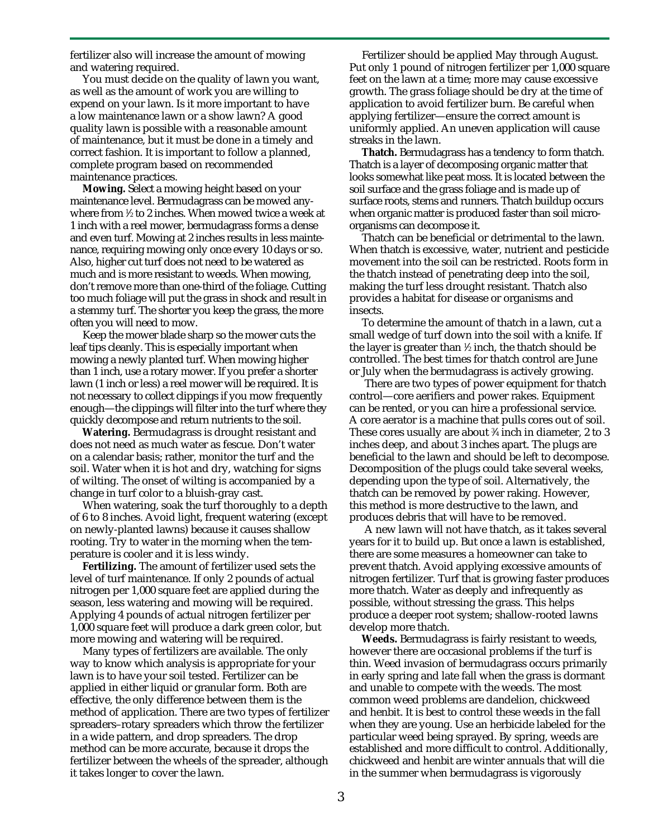fertilizer also will increase the amount of mowing and watering required.

You must decide on the quality of lawn you want, as well as the amount of work you are willing to expend on your lawn. Is it more important to have a low maintenance lawn or a show lawn? A good quality lawn is possible with a reasonable amount of maintenance, but it must be done in a timely and correct fashion. It is important to follow a planned, complete program based on recommended maintenance practices.

**Mowing.** Select a mowing height based on your maintenance level. Bermudagrass can be mowed anywhere from 1 ⁄2 to 2 inches. When mowed twice a week at 1 inch with a reel mower, bermudagrass forms a dense and even turf. Mowing at 2 inches results in less maintenance, requiring mowing only once every 10 days or so. Also, higher cut turf does not need to be watered as much and is more resistant to weeds. When mowing, don't remove more than one-third of the foliage. Cutting too much foliage will put the grass in shock and result in a stemmy turf. The shorter you keep the grass, the more often you will need to mow.

Keep the mower blade sharp so the mower cuts the leaf tips cleanly. This is especially important when mowing a newly planted turf. When mowing higher than 1 inch, use a rotary mower. If you prefer a shorter lawn (1 inch or less) a reel mower will be required. It is not necessary to collect clippings if you mow frequently enough—the clippings will filter into the turf where they quickly decompose and return nutrients to the soil.

**Watering.** Bermudagrass is drought resistant and does not need as much water as fescue. Don't water on a calendar basis; rather, monitor the turf and the soil. Water when it is hot and dry, watching for signs of wilting. The onset of wilting is accompanied by a change in turf color to a bluish-gray cast.

When watering, soak the turf thoroughly to a depth of 6 to 8 inches. Avoid light, frequent watering (except on newly-planted lawns) because it causes shallow rooting. Try to water in the morning when the temperature is cooler and it is less windy.

**Fertilizing.** The amount of fertilizer used sets the level of turf maintenance. If only 2 pounds of actual nitrogen per 1,000 square feet are applied during the season, less watering and mowing will be required. Applying 4 pounds of actual nitrogen fertilizer per 1,000 square feet will produce a dark green color, but more mowing and watering will be required.

Many types of fertilizers are available. The only way to know which analysis is appropriate for your lawn is to have your soil tested. Fertilizer can be applied in either liquid or granular form. Both are effective, the only difference between them is the method of application. There are two types of fertilizer spreaders–rotary spreaders which throw the fertilizer in a wide pattern, and drop spreaders. The drop method can be more accurate, because it drops the fertilizer between the wheels of the spreader, although it takes longer to cover the lawn.

Fertilizer should be applied May through August. Put only 1 pound of nitrogen fertilizer per 1,000 square feet on the lawn at a time; more may cause excessive growth. The grass foliage should be dry at the time of application to avoid fertilizer burn. Be careful when applying fertilizer—ensure the correct amount is uniformly applied. An uneven application will cause streaks in the lawn.

**Thatch.** Bermudagrass has a tendency to form thatch. Thatch is a layer of decomposing organic matter that looks somewhat like peat moss. It is located between the soil surface and the grass foliage and is made up of surface roots, stems and runners. Thatch buildup occurs when organic matter is produced faster than soil microorganisms can decompose it.

Thatch can be beneficial or detrimental to the lawn. When thatch is excessive, water, nutrient and pesticide movement into the soil can be restricted. Roots form in the thatch instead of penetrating deep into the soil, making the turf less drought resistant. Thatch also provides a habitat for disease or organisms and insects.

To determine the amount of thatch in a lawn, cut a small wedge of turf down into the soil with a knife. If the layer is greater than 1 ⁄2 inch, the thatch should be controlled. The best times for thatch control are June or July when the bermudagrass is actively growing.

 There are two types of power equipment for thatch control—core aerifiers and power rakes. Equipment can be rented, or you can hire a professional service. A core aerator is a machine that pulls cores out of soil. These cores usually are about 3 ⁄4 inch in diameter, 2 to 3 inches deep, and about 3 inches apart. The plugs are beneficial to the lawn and should be left to decompose. Decomposition of the plugs could take several weeks, depending upon the type of soil. Alternatively, the thatch can be removed by power raking. However, this method is more destructive to the lawn, and produces debris that will have to be removed.

 A new lawn will not have thatch, as it takes several years for it to build up. But once a lawn is established, there are some measures a homeowner can take to prevent thatch. Avoid applying excessive amounts of nitrogen fertilizer. Turf that is growing faster produces more thatch. Water as deeply and infrequently as possible, without stressing the grass. This helps produce a deeper root system; shallow-rooted lawns develop more thatch.

**Weeds.** Bermudagrass is fairly resistant to weeds, however there are occasional problems if the turf is thin. Weed invasion of bermudagrass occurs primarily in early spring and late fall when the grass is dormant and unable to compete with the weeds. The most common weed problems are dandelion, chickweed and henbit. It is best to control these weeds in the fall when they are young. Use an herbicide labeled for the particular weed being sprayed. By spring, weeds are established and more difficult to control. Additionally, chickweed and henbit are winter annuals that will die in the summer when bermudagrass is vigorously